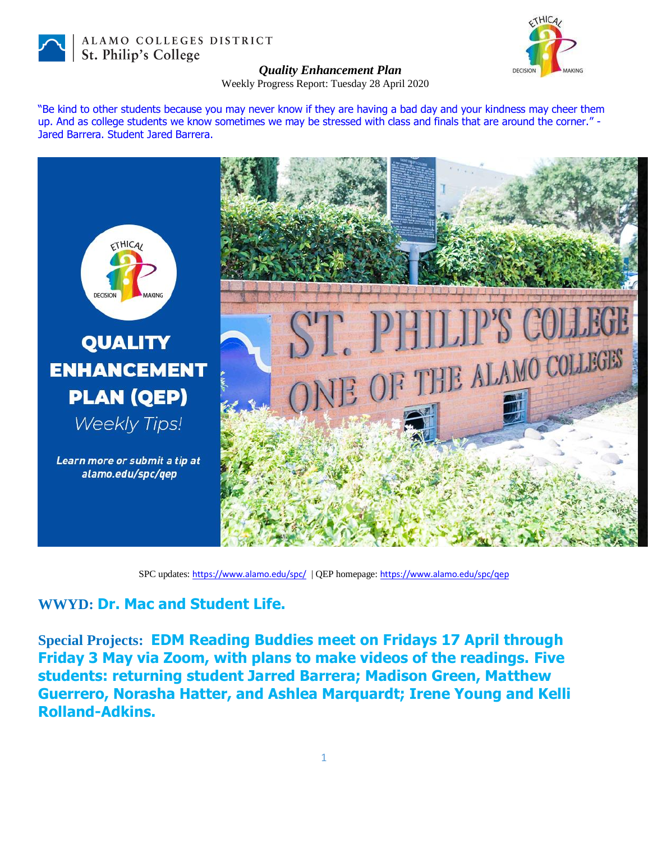

ALAMO COLLEGES DISTRICT St. Philip's College



## *Quality Enhancement Plan*

Weekly Progress Report: Tuesday 28 April 2020

"Be kind to other students because you may never know if they are having a bad day and your kindness may cheer them up. And as college students we know sometimes we may be stressed with class and finals that are around the corner." - Jared Barrera. Student Jared Barrera.



SPC updates: <https://www.alamo.edu/spc/> | QEP homepage: <https://www.alamo.edu/spc/qep>

## **WWYD: Dr. Mac and Student Life.**

**Special Projects: EDM Reading Buddies meet on Fridays 17 April through Friday 3 May via Zoom, with plans to make videos of the readings. Five students: returning student Jarred Barrera; Madison Green, Matthew Guerrero, Norasha Hatter, and Ashlea Marquardt; Irene Young and Kelli Rolland-Adkins.**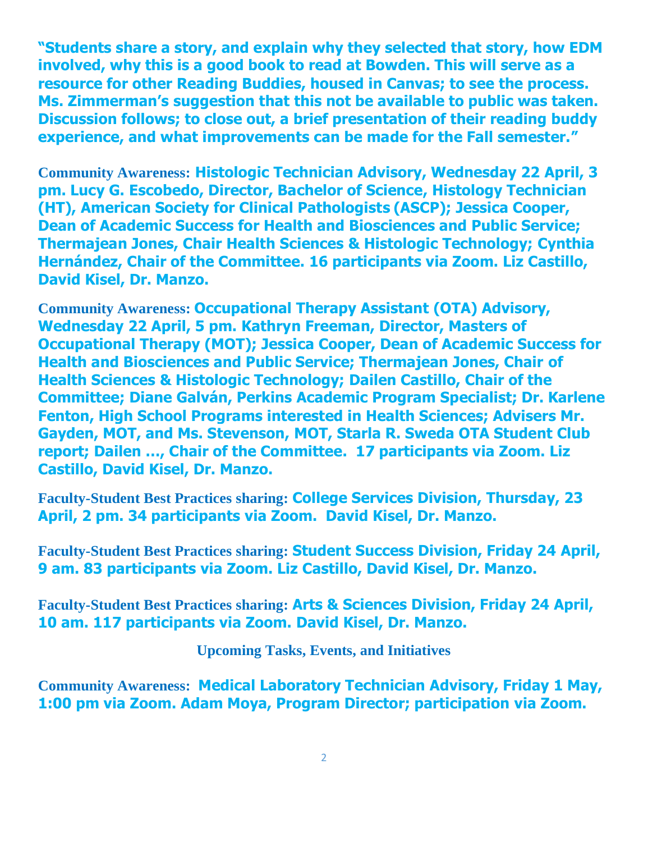**"Students share a story, and explain why they selected that story, how EDM involved, why this is a good book to read at Bowden. This will serve as a resource for other Reading Buddies, housed in Canvas; to see the process. Ms. Zimmerman's suggestion that this not be available to public was taken. Discussion follows; to close out, a brief presentation of their reading buddy experience, and what improvements can be made for the Fall semester."**

**Community Awareness: Histologic Technician Advisory, Wednesday 22 April, 3 pm. Lucy G. Escobedo, Director, Bachelor of Science, Histology Technician (HT), American Society for Clinical Pathologists (ASCP); Jessica Cooper, Dean of Academic Success for Health and Biosciences and Public Service; Thermajean Jones, Chair Health Sciences & Histologic Technology; Cynthia Hernández, Chair of the Committee. 16 participants via Zoom. Liz Castillo, David Kisel, Dr. Manzo.**

**Community Awareness: Occupational Therapy Assistant (OTA) Advisory, Wednesday 22 April, 5 pm. Kathryn Freeman, Director, Masters of Occupational Therapy (MOT); Jessica Cooper, Dean of Academic Success for Health and Biosciences and Public Service; Thermajean Jones, Chair of Health Sciences & Histologic Technology; Dailen Castillo, Chair of the Committee; Diane Galván, Perkins Academic Program Specialist; Dr. Karlene Fenton, High School Programs interested in Health Sciences; Advisers Mr. Gayden, MOT, and Ms. Stevenson, MOT, Starla R. Sweda OTA Student Club report; Dailen …, Chair of the Committee. 17 participants via Zoom. Liz Castillo, David Kisel, Dr. Manzo.**

**Faculty-Student Best Practices sharing: College Services Division, Thursday, 23 April, 2 pm. 34 participants via Zoom. David Kisel, Dr. Manzo.**

**Faculty-Student Best Practices sharing: Student Success Division, Friday 24 April, 9 am. 83 participants via Zoom. Liz Castillo, David Kisel, Dr. Manzo.**

**Faculty-Student Best Practices sharing: Arts & Sciences Division, Friday 24 April, 10 am. 117 participants via Zoom. David Kisel, Dr. Manzo.**

**Upcoming Tasks, Events, and Initiatives**

**Community Awareness: Medical Laboratory Technician Advisory, Friday 1 May, 1:00 pm via Zoom. Adam Moya, Program Director; participation via Zoom.**